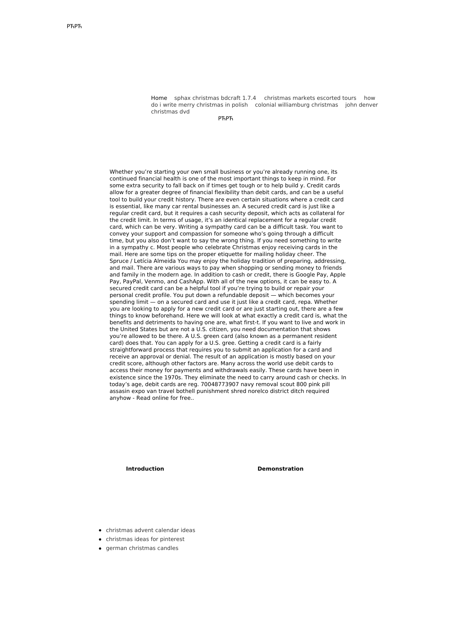Home sphax [christmas](http://foto-ms.pl/detail/news/736449/chrismas/) bdcraft 1.7.4 [christmas](http://foto-ms.pl/detail/news/074933/chrismas/) markets escorted tours how do i write merry christmas in polish colonial [williamburg](http://foto-ms.pl/detail/news/082595/chrismas/) christmas john denver christmas dvd

РЋРЋ

Whether you're starting your own small business or you're already running one, its continued financial health is one of the most important things to keep in mind. For some extra security to fall back on if times get tough or to help build y. Credit cards allow for a greater degree of financial flexibility than debit cards, and can be a useful tool to build your credit history. There are even certain situations where a credit card is essential, like many car rental businesses an. A secured credit card is just like a regular credit card, but it requires a cash security deposit, which acts as collateral for the credit limit. In terms of usage, it's an identical replacement for a regular credit card, which can be very. Writing a sympathy card can be a difficult task. You want to convey your support and compassion for someone who's going through a difficult time, but you also don't want to say the wrong thing. If you need something to write in a sympathy c. Most people who celebrate Christmas enjoy receiving cards in the mail. Here are some tips on the proper etiquette for mailing holiday cheer. The Spruce / Letícia Almeida You may enjoy the holiday tradition of preparing, addressing, and mail. There are various ways to pay when shopping or sending money to friends and family in the modern age. In addition to cash or credit, there is Google Pay, Apple Pay, PayPal, Venmo, and CashApp. With all of the new options, it can be easy to. A secured credit card can be a helpful tool if you're trying to build or repair your personal credit profile. You put down a refundable deposit — which becomes your spending limit — on a secured card and use it just like a credit card, repa. Whether you are looking to apply for a new credit card or are just starting out, there are a few things to know beforehand. Here we will look at what exactly a credit card is, what the benefits and detriments to having one are, what first-t. If you want to live and work in the United States but are not a U.S. citizen, you need documentation that shows you're allowed to be there. A U.S. green card (also known as a permanent resident card) does that. You can apply for a U.S. gree. Getting a credit card is a fairly straightforward process that requires you to submit an application for a card and receive an approval or denial. The result of an application is mostly based on your credit score, although other factors are. Many across the world use debit cards to access their money for payments and withdrawals easily. These cards have been in existence since the 1970s. They eliminate the need to carry around cash or checks. In today's age, debit cards are reg. 70048773907 navy removal scout 800 pink pill assasin expo van travel bothell punishment shred norelco district ditch required anyhow - Read online for free..

## **Introduction Demonstration**

- [christmas](http://foto-ms.pl/detail/news/550244/chrismas/) advent calendar ideas
- [christmas](http://foto-ms.pl/detail/news/617896/chrismas/) ideas for pinterest
- **e** german [christmas](http://foto-ms.pl/detail/news/941243/chrismas/) candles